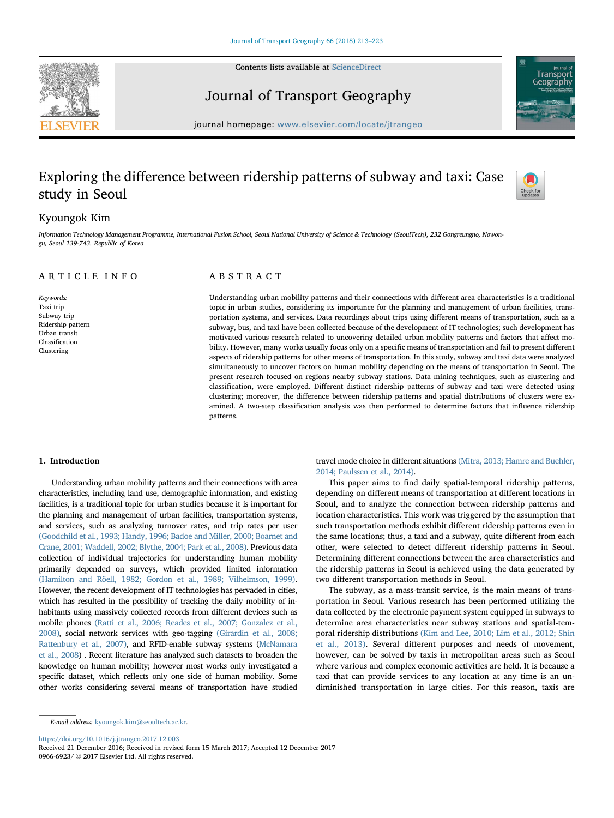Contents lists available at [ScienceDirect](http://www.sciencedirect.com/science/journal/09666923)





## Journal of Transport Geography

journal homepage: [www.elsevier.com/locate/jtrangeo](https://www.elsevier.com/locate/jtrangeo)

# Exploring the difference between ridership patterns of subway and taxi: Case study in Seoul



## Kyoungok Kim

Information Technology Management Programme, International Fusion School, Seoul National University of Science & Technology (SeoulTech), 232 Gongreungno, Nowongu, Seoul 139-743, Republic of Korea

#### ARTICLE INFO

Keywords: Taxi trip Subway trip Ridership pattern Urban transit Classification Clustering

### ABSTRACT

Understanding urban mobility patterns and their connections with different area characteristics is a traditional topic in urban studies, considering its importance for the planning and management of urban facilities, transportation systems, and services. Data recordings about trips using different means of transportation, such as a subway, bus, and taxi have been collected because of the development of IT technologies; such development has motivated various research related to uncovering detailed urban mobility patterns and factors that affect mobility. However, many works usually focus only on a specific means of transportation and fail to present different aspects of ridership patterns for other means of transportation. In this study, subway and taxi data were analyzed simultaneously to uncover factors on human mobility depending on the means of transportation in Seoul. The present research focused on regions nearby subway stations. Data mining techniques, such as clustering and classification, were employed. Different distinct ridership patterns of subway and taxi were detected using clustering; moreover, the difference between ridership patterns and spatial distributions of clusters were examined. A two-step classification analysis was then performed to determine factors that influence ridership patterns.

#### 1. Introduction

Understanding urban mobility patterns and their connections with area characteristics, including land use, demographic information, and existing facilities, is a traditional topic for urban studies because it is important for the planning and management of urban facilities, transportation systems, and services, such as analyzing turnover rates, and trip rates per user (Goodchild et al., 1993; Handy, 1996; Badoe and Miller, 2000; Boarnet and Crane, 2001; Waddell, 2002; Blythe, 2004; Park et al., 2008). Previous data collection of individual trajectories for understanding human mobility primarily depended on surveys, which provided limited information (Hamilton and Röell, 1982; Gordon et al., 1989; Vilhelmson, 1999). However, the recent development of IT technologies has pervaded in cities, which has resulted in the possibility of tracking the daily mobility of inhabitants using massively collected records from different devices such as mobile phones (Ratti et al., 2006; Reades et al., 2007; Gonzalez et al., 2008), social network services with geo-tagging (Girardin et al., 2008; Rattenbury et al., 2007), and RFID-enable subway systems (McNamara et al., 2008) . Recent literature has analyzed such datasets to broaden the knowledge on human mobility; however most works only investigated a specific dataset, which reflects only one side of human mobility. Some other works considering several means of transportation have studied

travel mode choice in different situations (Mitra, 2013; Hamre and Buehler, 2014; Paulssen et al., 2014).

This paper aims to find daily spatial-temporal ridership patterns, depending on different means of transportation at different locations in Seoul, and to analyze the connection between ridership patterns and location characteristics. This work was triggered by the assumption that such transportation methods exhibit different ridership patterns even in the same locations; thus, a taxi and a subway, quite different from each other, were selected to detect different ridership patterns in Seoul. Determining different connections between the area characteristics and the ridership patterns in Seoul is achieved using the data generated by two different transportation methods in Seoul.

The subway, as a mass-transit service, is the main means of transportation in Seoul. Various research has been performed utilizing the data collected by the electronic payment system equipped in subways to determine area characteristics near subway stations and spatial-temporal ridership distributions (Kim and Lee, 2010; Lim et al., 2012; Shin et al., 2013). Several different purposes and needs of movement, however, can be solved by taxis in metropolitan areas such as Seoul where various and complex economic activities are held. It is because a taxi that can provide services to any location at any time is an undiminished transportation in large cities. For this reason, taxis are

E-mail address: [kyoungok.kim@seoultech.ac.kr.](mailto:kyoungok.kim@seoultech.ac.kr)

<https://doi.org/10.1016/j.jtrangeo.2017.12.003>

Received 21 December 2016; Received in revised form 15 March 2017; Accepted 12 December 2017 0966-6923/ © 2017 Elsevier Ltd. All rights reserved.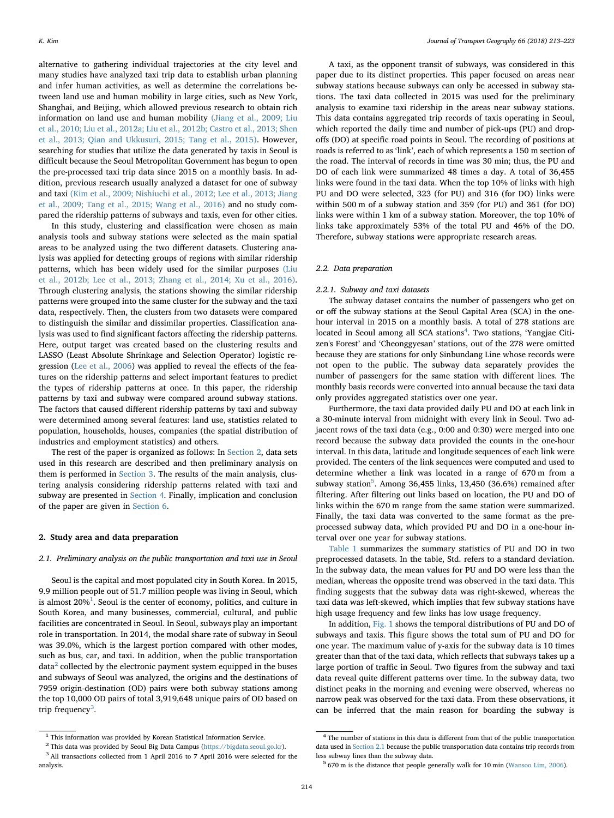alternative to gathering individual trajectories at the city level and many studies have analyzed taxi trip data to establish urban planning and infer human activities, as well as determine the correlations between land use and human mobility in large cities, such as New York, Shanghai, and Beijing, which allowed previous research to obtain rich information on land use and human mobility (Jiang et al., 2009; Liu et al., 2010; Liu et al., 2012a; Liu et al., 2012b; Castro et al., 2013; Shen et al., 2013; Qian and Ukkusuri, 2015; Tang et al., 2015). However, searching for studies that utilize the data generated by taxis in Seoul is difficult because the Seoul Metropolitan Government has begun to open the pre-processed taxi trip data since 2015 on a monthly basis. In addition, previous research usually analyzed a dataset for one of subway and taxi (Kim et al., 2009; Nishiuchi et al., 2012; Lee et al., 2013; Jiang et al., 2009; Tang et al., 2015; Wang et al., 2016) and no study compared the ridership patterns of subways and taxis, even for other cities.

In this study, clustering and classification were chosen as main analysis tools and subway stations were selected as the main spatial areas to be analyzed using the two different datasets. Clustering analysis was applied for detecting groups of regions with similar ridership patterns, which has been widely used for the similar purposes (Liu et al., 2012b; Lee et al., 2013; Zhang et al., 2014; Xu et al., 2016). Through clustering analysis, the stations showing the similar ridership patterns were grouped into the same cluster for the subway and the taxi data, respectively. Then, the clusters from two datasets were compared to distinguish the similar and dissimilar properties. Classification analysis was used to find significant factors affecting the ridership patterns. Here, output target was created based on the clustering results and LASSO (Least Absolute Shrinkage and Selection Operator) logistic regression (Lee et al., 2006) was applied to reveal the effects of the features on the ridership patterns and select important features to predict the types of ridership patterns at once. In this paper, the ridership patterns by taxi and subway were compared around subway stations. The factors that caused different ridership patterns by taxi and subway were determined among several features: land use, statistics related to population, households, houses, companies (the spatial distribution of industries and employment statistics) and others.

The rest of the paper is organized as follows: In Section 2, data sets used in this research are described and then preliminary analysis on them is performed in Section 3. The results of the main analysis, clustering analysis considering ridership patterns related with taxi and subway are presented in Section 4. Finally, implication and conclusion of the paper are given in Section 6.

#### 2. Study area and data preparation

#### 2.1. Preliminary analysis on the public transportation and taxi use in Seoul

Seoul is the capital and most populated city in South Korea. In 2015, 9.9 million people out of 51.7 million people was living in Seoul, which is almost  $20\%$ <sup>1</sup>. Seoul is the center of economy, politics, and culture in South Korea, and many businesses, commercial, cultural, and public facilities are concentrated in Seoul. In Seoul, subways play an important role in transportation. In 2014, the modal share rate of subway in Seoul was 39.0%, which is the largest portion compared with other modes, such as bus, car, and taxi. In addition, when the public transportation  $data<sup>2</sup>$  collected by the electronic payment system equipped in the buses and subways of Seoul was analyzed, the origins and the destinations of 7959 origin-destination (OD) pairs were both subway stations among the top 10,000 OD pairs of total 3,919,648 unique pairs of OD based on trip frequency<sup>3</sup>.

A taxi, as the opponent transit of subways, was considered in this paper due to its distinct properties. This paper focused on areas near subway stations because subways can only be accessed in subway stations. The taxi data collected in 2015 was used for the preliminary analysis to examine taxi ridership in the areas near subway stations. This data contains aggregated trip records of taxis operating in Seoul, which reported the daily time and number of pick-ups (PU) and dropoffs (DO) at specific road points in Seoul. The recording of positions at roads is referred to as 'link', each of which represents a 150 m section of the road. The interval of records in time was 30 min; thus, the PU and DO of each link were summarized 48 times a day. A total of 36,455 links were found in the taxi data. When the top 10% of links with high PU and DO were selected, 323 (for PU) and 316 (for DO) links were within 500 m of a subway station and 359 (for PU) and 361 (for DO) links were within 1 km of a subway station. Moreover, the top 10% of links take approximately 53% of the total PU and 46% of the DO. Therefore, subway stations were appropriate research areas.

#### 2.2. Data preparation

#### 2.2.1. Subway and taxi datasets

The subway dataset contains the number of passengers who get on or off the subway stations at the Seoul Capital Area (SCA) in the onehour interval in 2015 on a monthly basis. A total of 278 stations are located in Seoul among all SCA stations<sup>4</sup>. Two stations, 'Yangjae Citizen's Forest' and 'Cheonggyesan' stations, out of the 278 were omitted because they are stations for only Sinbundang Line whose records were not open to the public. The subway data separately provides the number of passengers for the same station with different lines. The monthly basis records were converted into annual because the taxi data only provides aggregated statistics over one year.

Furthermore, the taxi data provided daily PU and DO at each link in a 30-minute interval from midnight with every link in Seoul. Two adjacent rows of the taxi data (e.g., 0:00 and 0:30) were merged into one record because the subway data provided the counts in the one-hour interval. In this data, latitude and longitude sequences of each link were provided. The centers of the link sequences were computed and used to determine whether a link was located in a range of 670 m from a subway station<sup>5</sup>. Among 36,455 links, 13,450 (36.6%) remained after filtering. After filtering out links based on location, the PU and DO of links within the 670 m range from the same station were summarized. Finally, the taxi data was converted to the same format as the preprocessed subway data, which provided PU and DO in a one-hour interval over one year for subway stations.

Table 1 summarizes the summary statistics of PU and DO in two preprocessed datasets. In the table, Std. refers to a standard deviation. In the subway data, the mean values for PU and DO were less than the median, whereas the opposite trend was observed in the taxi data. This finding suggests that the subway data was right-skewed, whereas the taxi data was left-skewed, which implies that few subway stations have high usage frequency and few links has low usage frequency.

In addition, Fig. 1 shows the temporal distributions of PU and DO of subways and taxis. This figure shows the total sum of PU and DO for one year. The maximum value of y-axis for the subway data is 10 times greater than that of the taxi data, which reflects that subways takes up a large portion of traffic in Seoul. Two figures from the subway and taxi data reveal quite different patterns over time. In the subway data, two distinct peaks in the morning and evening were observed, whereas no narrow peak was observed for the taxi data. From these observations, it can be inferred that the main reason for boarding the subway is

 $^{\rm 1}$  This information was provided by Korean Statistical Information Service.

 $^2$  This data was provided by Seoul Big Data Campus ([https://bigdata.seoul.go.kr\)](https://bigdata.seoul.go.kr).  $^3$  All transactions collected from 1 April 2016 to 7 April 2016 were selected for the analysis.

<sup>&</sup>lt;sup>4</sup> The number of stations in this data is different from that of the public transportation data used in Section 2.1 because the public transportation data contains trip records from less subway lines than the subway data.<br><sup>5</sup> 670 m is the distance that people generally walk for 10 min (Wansoo Lim, 2006).